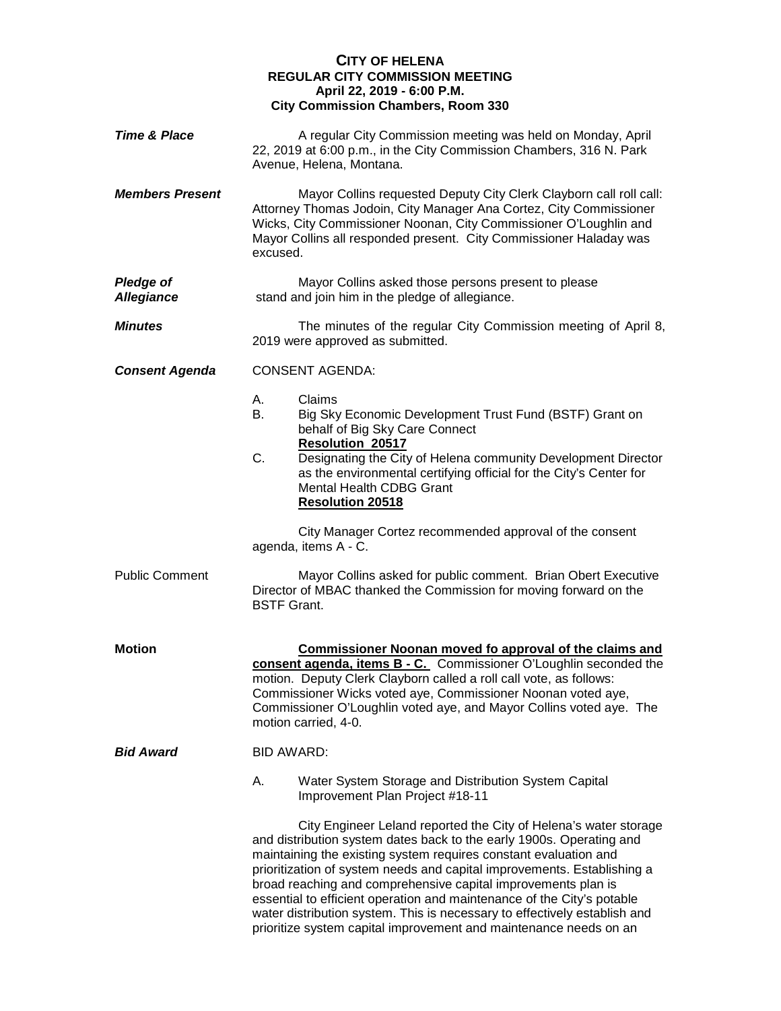# **CITY OF HELENA REGULAR CITY COMMISSION MEETING April 22, 2019 - 6:00 P.M. City Commission Chambers, Room 330**

| <b>Time &amp; Place</b>               | A regular City Commission meeting was held on Monday, April<br>22, 2019 at 6:00 p.m., in the City Commission Chambers, 316 N. Park<br>Avenue, Helena, Montana.                                                                                                                                                                                                                                                                                                                                                                                                                       |
|---------------------------------------|--------------------------------------------------------------------------------------------------------------------------------------------------------------------------------------------------------------------------------------------------------------------------------------------------------------------------------------------------------------------------------------------------------------------------------------------------------------------------------------------------------------------------------------------------------------------------------------|
| <b>Members Present</b>                | Mayor Collins requested Deputy City Clerk Clayborn call roll call:<br>Attorney Thomas Jodoin, City Manager Ana Cortez, City Commissioner<br>Wicks, City Commissioner Noonan, City Commissioner O'Loughlin and<br>Mayor Collins all responded present. City Commissioner Haladay was<br>excused.                                                                                                                                                                                                                                                                                      |
| <b>Pledge of</b><br><b>Allegiance</b> | Mayor Collins asked those persons present to please<br>stand and join him in the pledge of allegiance.                                                                                                                                                                                                                                                                                                                                                                                                                                                                               |
| <b>Minutes</b>                        | The minutes of the regular City Commission meeting of April 8,<br>2019 were approved as submitted.                                                                                                                                                                                                                                                                                                                                                                                                                                                                                   |
| <b>Consent Agenda</b>                 | <b>CONSENT AGENDA:</b>                                                                                                                                                                                                                                                                                                                                                                                                                                                                                                                                                               |
|                                       | Claims<br>А.<br>В.<br>Big Sky Economic Development Trust Fund (BSTF) Grant on<br>behalf of Big Sky Care Connect<br><b>Resolution 20517</b>                                                                                                                                                                                                                                                                                                                                                                                                                                           |
|                                       | C.<br>Designating the City of Helena community Development Director<br>as the environmental certifying official for the City's Center for<br><b>Mental Health CDBG Grant</b><br><b>Resolution 20518</b>                                                                                                                                                                                                                                                                                                                                                                              |
|                                       | City Manager Cortez recommended approval of the consent<br>agenda, items A - C.                                                                                                                                                                                                                                                                                                                                                                                                                                                                                                      |
| <b>Public Comment</b>                 | Mayor Collins asked for public comment. Brian Obert Executive<br>Director of MBAC thanked the Commission for moving forward on the<br><b>BSTF Grant.</b>                                                                                                                                                                                                                                                                                                                                                                                                                             |
| <b>Motion</b>                         | <b>Commissioner Noonan moved fo approval of the claims and</b><br>consent agenda, items B - C. Commissioner O'Loughlin seconded the<br>motion. Deputy Clerk Clayborn called a roll call vote, as follows:<br>Commissioner Wicks voted aye, Commissioner Noonan voted aye,<br>Commissioner O'Loughlin voted aye, and Mayor Collins voted aye. The<br>motion carried, 4-0.                                                                                                                                                                                                             |
| <b>Bid Award</b>                      | BID AWARD:                                                                                                                                                                                                                                                                                                                                                                                                                                                                                                                                                                           |
|                                       | А.<br>Water System Storage and Distribution System Capital<br>Improvement Plan Project #18-11                                                                                                                                                                                                                                                                                                                                                                                                                                                                                        |
|                                       | City Engineer Leland reported the City of Helena's water storage<br>and distribution system dates back to the early 1900s. Operating and<br>maintaining the existing system requires constant evaluation and<br>prioritization of system needs and capital improvements. Establishing a<br>broad reaching and comprehensive capital improvements plan is<br>essential to efficient operation and maintenance of the City's potable<br>water distribution system. This is necessary to effectively establish and<br>prioritize system capital improvement and maintenance needs on an |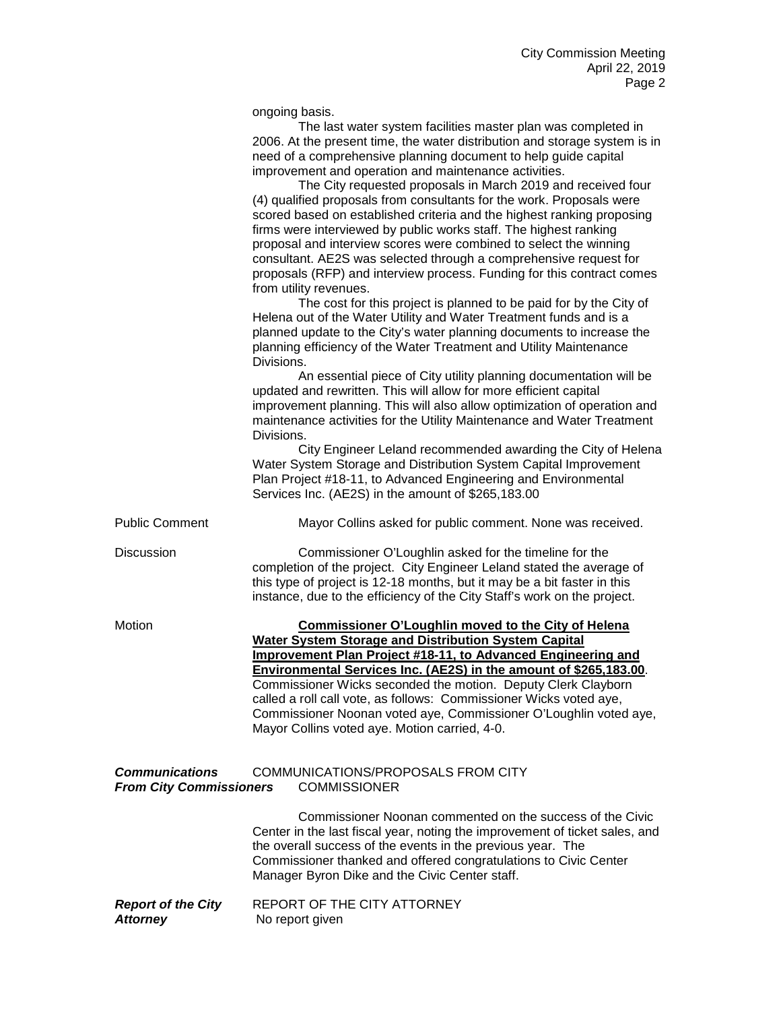ongoing basis.

|                                                         | The last water system facilities master plan was completed in<br>2006. At the present time, the water distribution and storage system is in<br>need of a comprehensive planning document to help guide capital<br>improvement and operation and maintenance activities.<br>The City requested proposals in March 2019 and received four<br>(4) qualified proposals from consultants for the work. Proposals were<br>scored based on established criteria and the highest ranking proposing<br>firms were interviewed by public works staff. The highest ranking<br>proposal and interview scores were combined to select the winning<br>consultant. AE2S was selected through a comprehensive request for<br>proposals (RFP) and interview process. Funding for this contract comes<br>from utility revenues.<br>The cost for this project is planned to be paid for by the City of<br>Helena out of the Water Utility and Water Treatment funds and is a<br>planned update to the City's water planning documents to increase the<br>planning efficiency of the Water Treatment and Utility Maintenance<br>Divisions.<br>An essential piece of City utility planning documentation will be<br>updated and rewritten. This will allow for more efficient capital<br>improvement planning. This will also allow optimization of operation and<br>maintenance activities for the Utility Maintenance and Water Treatment<br>Divisions.<br>City Engineer Leland recommended awarding the City of Helena<br>Water System Storage and Distribution System Capital Improvement<br>Plan Project #18-11, to Advanced Engineering and Environmental |
|---------------------------------------------------------|--------------------------------------------------------------------------------------------------------------------------------------------------------------------------------------------------------------------------------------------------------------------------------------------------------------------------------------------------------------------------------------------------------------------------------------------------------------------------------------------------------------------------------------------------------------------------------------------------------------------------------------------------------------------------------------------------------------------------------------------------------------------------------------------------------------------------------------------------------------------------------------------------------------------------------------------------------------------------------------------------------------------------------------------------------------------------------------------------------------------------------------------------------------------------------------------------------------------------------------------------------------------------------------------------------------------------------------------------------------------------------------------------------------------------------------------------------------------------------------------------------------------------------------------------------------------------------------------------------------------------------------------|
|                                                         | Services Inc. (AE2S) in the amount of \$265,183.00                                                                                                                                                                                                                                                                                                                                                                                                                                                                                                                                                                                                                                                                                                                                                                                                                                                                                                                                                                                                                                                                                                                                                                                                                                                                                                                                                                                                                                                                                                                                                                                         |
| <b>Public Comment</b>                                   | Mayor Collins asked for public comment. None was received.                                                                                                                                                                                                                                                                                                                                                                                                                                                                                                                                                                                                                                                                                                                                                                                                                                                                                                                                                                                                                                                                                                                                                                                                                                                                                                                                                                                                                                                                                                                                                                                 |
| Discussion                                              | Commissioner O'Loughlin asked for the timeline for the<br>completion of the project. City Engineer Leland stated the average of<br>this type of project is 12-18 months, but it may be a bit faster in this<br>instance, due to the efficiency of the City Staff's work on the project.                                                                                                                                                                                                                                                                                                                                                                                                                                                                                                                                                                                                                                                                                                                                                                                                                                                                                                                                                                                                                                                                                                                                                                                                                                                                                                                                                    |
| Motion                                                  | <b>Commissioner O'Loughlin moved to the City of Helena</b><br><b>Water System Storage and Distribution System Capital</b><br>Improvement Plan Project #18-11, to Advanced Engineering and<br>Environmental Services Inc. (AE2S) in the amount of \$265,183.00.<br>Commissioner Wicks seconded the motion. Deputy Clerk Clayborn<br>called a roll call vote, as follows: Commissioner Wicks voted aye,<br>Commissioner Noonan voted aye, Commissioner O'Loughlin voted aye,<br>Mayor Collins voted aye. Motion carried, 4-0.                                                                                                                                                                                                                                                                                                                                                                                                                                                                                                                                                                                                                                                                                                                                                                                                                                                                                                                                                                                                                                                                                                                |
| <b>Communications</b><br><b>From City Commissioners</b> | COMMUNICATIONS/PROPOSALS FROM CITY<br><b>COMMISSIONER</b>                                                                                                                                                                                                                                                                                                                                                                                                                                                                                                                                                                                                                                                                                                                                                                                                                                                                                                                                                                                                                                                                                                                                                                                                                                                                                                                                                                                                                                                                                                                                                                                  |
|                                                         | Commissioner Noonan commented on the success of the Civic<br>Center in the last fiscal year, noting the improvement of ticket sales, and<br>the overall success of the events in the previous year. The<br>Commissioner thanked and offered congratulations to Civic Center<br>Manager Byron Dike and the Civic Center staff.                                                                                                                                                                                                                                                                                                                                                                                                                                                                                                                                                                                                                                                                                                                                                                                                                                                                                                                                                                                                                                                                                                                                                                                                                                                                                                              |
| <b>Report of the City</b><br><b>Attorney</b>            | REPORT OF THE CITY ATTORNEY<br>No report given                                                                                                                                                                                                                                                                                                                                                                                                                                                                                                                                                                                                                                                                                                                                                                                                                                                                                                                                                                                                                                                                                                                                                                                                                                                                                                                                                                                                                                                                                                                                                                                             |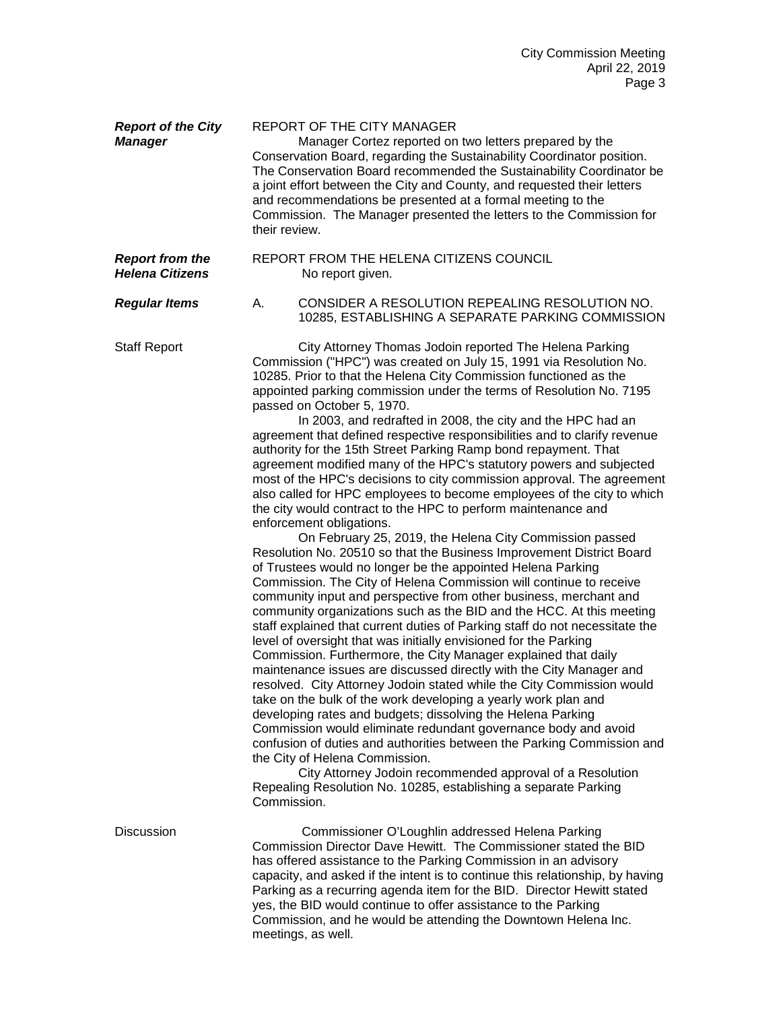| <b>Report of the City</b><br><b>Manager</b>      | <b>REPORT OF THE CITY MANAGER</b><br>Manager Cortez reported on two letters prepared by the<br>Conservation Board, regarding the Sustainability Coordinator position.<br>The Conservation Board recommended the Sustainability Coordinator be<br>a joint effort between the City and County, and requested their letters<br>and recommendations be presented at a formal meeting to the<br>Commission. The Manager presented the letters to the Commission for<br>their review.                                                                                                                                                                                                                                                                                                                                                                                                                                                                                                                                                                                                                                                                                                                                                                                                                                                                                                                                                                                                                                                                                                                                                                                                                                                                                                                                                                                                                                                                                                                                                                                                                        |
|--------------------------------------------------|--------------------------------------------------------------------------------------------------------------------------------------------------------------------------------------------------------------------------------------------------------------------------------------------------------------------------------------------------------------------------------------------------------------------------------------------------------------------------------------------------------------------------------------------------------------------------------------------------------------------------------------------------------------------------------------------------------------------------------------------------------------------------------------------------------------------------------------------------------------------------------------------------------------------------------------------------------------------------------------------------------------------------------------------------------------------------------------------------------------------------------------------------------------------------------------------------------------------------------------------------------------------------------------------------------------------------------------------------------------------------------------------------------------------------------------------------------------------------------------------------------------------------------------------------------------------------------------------------------------------------------------------------------------------------------------------------------------------------------------------------------------------------------------------------------------------------------------------------------------------------------------------------------------------------------------------------------------------------------------------------------------------------------------------------------------------------------------------------------|
| <b>Report from the</b><br><b>Helena Citizens</b> | REPORT FROM THE HELENA CITIZENS COUNCIL<br>No report given.                                                                                                                                                                                                                                                                                                                                                                                                                                                                                                                                                                                                                                                                                                                                                                                                                                                                                                                                                                                                                                                                                                                                                                                                                                                                                                                                                                                                                                                                                                                                                                                                                                                                                                                                                                                                                                                                                                                                                                                                                                            |
| <b>Regular Items</b>                             | CONSIDER A RESOLUTION REPEALING RESOLUTION NO.<br>А.<br>10285, ESTABLISHING A SEPARATE PARKING COMMISSION                                                                                                                                                                                                                                                                                                                                                                                                                                                                                                                                                                                                                                                                                                                                                                                                                                                                                                                                                                                                                                                                                                                                                                                                                                                                                                                                                                                                                                                                                                                                                                                                                                                                                                                                                                                                                                                                                                                                                                                              |
| <b>Staff Report</b>                              | City Attorney Thomas Jodoin reported The Helena Parking<br>Commission ("HPC") was created on July 15, 1991 via Resolution No.<br>10285. Prior to that the Helena City Commission functioned as the<br>appointed parking commission under the terms of Resolution No. 7195<br>passed on October 5, 1970.<br>In 2003, and redrafted in 2008, the city and the HPC had an<br>agreement that defined respective responsibilities and to clarify revenue<br>authority for the 15th Street Parking Ramp bond repayment. That<br>agreement modified many of the HPC's statutory powers and subjected<br>most of the HPC's decisions to city commission approval. The agreement<br>also called for HPC employees to become employees of the city to which<br>the city would contract to the HPC to perform maintenance and<br>enforcement obligations.<br>On February 25, 2019, the Helena City Commission passed<br>Resolution No. 20510 so that the Business Improvement District Board<br>of Trustees would no longer be the appointed Helena Parking<br>Commission. The City of Helena Commission will continue to receive<br>community input and perspective from other business, merchant and<br>community organizations such as the BID and the HCC. At this meeting<br>staff explained that current duties of Parking staff do not necessitate the<br>level of oversight that was initially envisioned for the Parking<br>Commission. Furthermore, the City Manager explained that daily<br>maintenance issues are discussed directly with the City Manager and<br>resolved. City Attorney Jodoin stated while the City Commission would<br>take on the bulk of the work developing a yearly work plan and<br>developing rates and budgets; dissolving the Helena Parking<br>Commission would eliminate redundant governance body and avoid<br>confusion of duties and authorities between the Parking Commission and<br>the City of Helena Commission.<br>City Attorney Jodoin recommended approval of a Resolution<br>Repealing Resolution No. 10285, establishing a separate Parking<br>Commission. |
| Discussion                                       | Commissioner O'Loughlin addressed Helena Parking<br>Commission Director Dave Hewitt. The Commissioner stated the BID<br>has offered assistance to the Parking Commission in an advisory<br>capacity, and asked if the intent is to continue this relationship, by having<br>Parking as a recurring agenda item for the BID. Director Hewitt stated<br>yes, the BID would continue to offer assistance to the Parking<br>Commission, and he would be attending the Downtown Helena Inc.<br>meetings, as well.                                                                                                                                                                                                                                                                                                                                                                                                                                                                                                                                                                                                                                                                                                                                                                                                                                                                                                                                                                                                                                                                                                                                                                                                                                                                                                                                                                                                                                                                                                                                                                                           |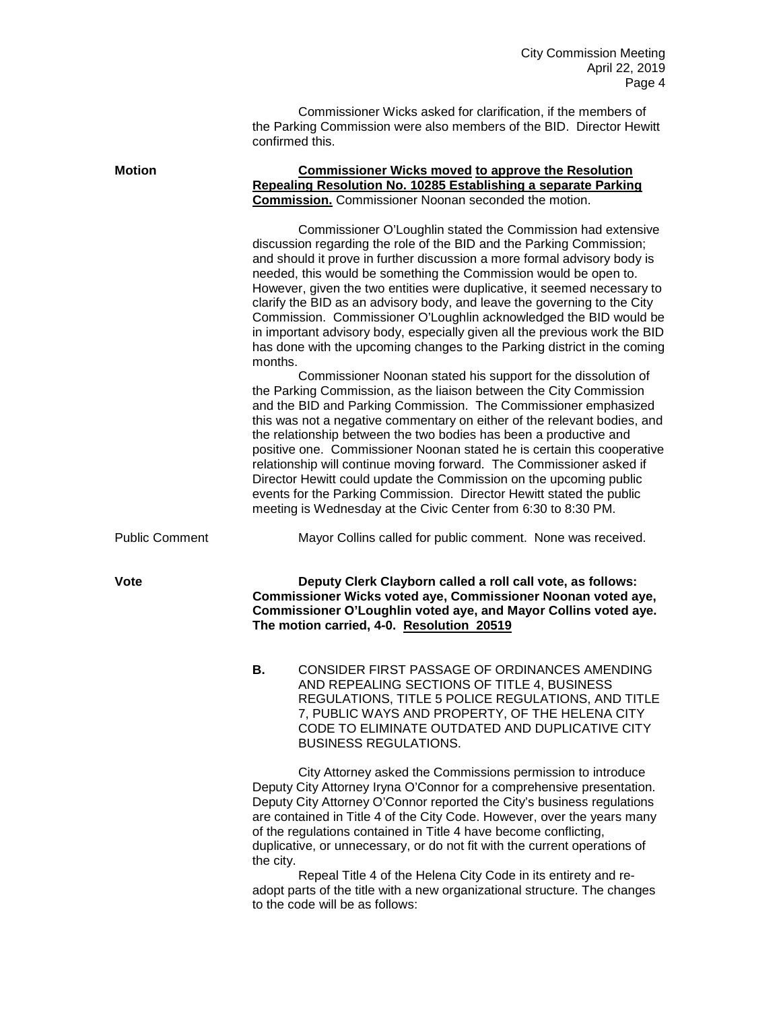Commissioner Wicks asked for clarification, if the members of the Parking Commission were also members of the BID. Director Hewitt confirmed this.

| <b>Motion</b>         |         | <b>Commissioner Wicks moved to approve the Resolution</b><br>Repealing Resolution No. 10285 Establishing a separate Parking<br><b>Commission.</b> Commissioner Noonan seconded the motion.                                                                                                                                                                                                                                                                                                                                                                                                                                                                                                                                 |
|-----------------------|---------|----------------------------------------------------------------------------------------------------------------------------------------------------------------------------------------------------------------------------------------------------------------------------------------------------------------------------------------------------------------------------------------------------------------------------------------------------------------------------------------------------------------------------------------------------------------------------------------------------------------------------------------------------------------------------------------------------------------------------|
|                       | months. | Commissioner O'Loughlin stated the Commission had extensive<br>discussion regarding the role of the BID and the Parking Commission;<br>and should it prove in further discussion a more formal advisory body is<br>needed, this would be something the Commission would be open to.<br>However, given the two entities were duplicative, it seemed necessary to<br>clarify the BID as an advisory body, and leave the governing to the City<br>Commission. Commissioner O'Loughlin acknowledged the BID would be<br>in important advisory body, especially given all the previous work the BID<br>has done with the upcoming changes to the Parking district in the coming                                                 |
|                       |         | Commissioner Noonan stated his support for the dissolution of<br>the Parking Commission, as the liaison between the City Commission<br>and the BID and Parking Commission. The Commissioner emphasized<br>this was not a negative commentary on either of the relevant bodies, and<br>the relationship between the two bodies has been a productive and<br>positive one. Commissioner Noonan stated he is certain this cooperative<br>relationship will continue moving forward. The Commissioner asked if<br>Director Hewitt could update the Commission on the upcoming public<br>events for the Parking Commission. Director Hewitt stated the public<br>meeting is Wednesday at the Civic Center from 6:30 to 8:30 PM. |
| <b>Public Comment</b> |         | Mayor Collins called for public comment. None was received.                                                                                                                                                                                                                                                                                                                                                                                                                                                                                                                                                                                                                                                                |
| <b>Vote</b>           |         | Deputy Clerk Clayborn called a roll call vote, as follows:<br>Commissioner Wicks voted aye, Commissioner Noonan voted aye,<br>Commissioner O'Loughlin voted aye, and Mayor Collins voted aye.<br>The motion carried, 4-0. Resolution 20519                                                                                                                                                                                                                                                                                                                                                                                                                                                                                 |
|                       | В.      | CONSIDER FIRST PASSAGE OF ORDINANCES AMENDING<br>AND REPEALING SECTIONS OF TITLE 4, BUSINESS<br>REGULATIONS, TITLE 5 POLICE REGULATIONS, AND TITLE<br>7, PUBLIC WAYS AND PROPERTY, OF THE HELENA CITY<br>CODE TO ELIMINATE OUTDATED AND DUPLICATIVE CITY<br><b>BUSINESS REGULATIONS.</b>                                                                                                                                                                                                                                                                                                                                                                                                                                   |
|                       |         | City Attorney asked the Commissions permission to introduce<br>Deputy City Attorney Iryna O'Connor for a comprehensive presentation.<br>Deputy City Attorney O'Connor reported the City's business regulations<br>are contained in Title 4 of the City Code. However, over the years many<br>of the regulations contained in Title 4 have become conflicting,                                                                                                                                                                                                                                                                                                                                                              |

duplicative, or unnecessary, or do not fit with the current operations of the city.

Repeal Title 4 of the Helena City Code in its entirety and readopt parts of the title with a new organizational structure. The changes to the code will be as follows: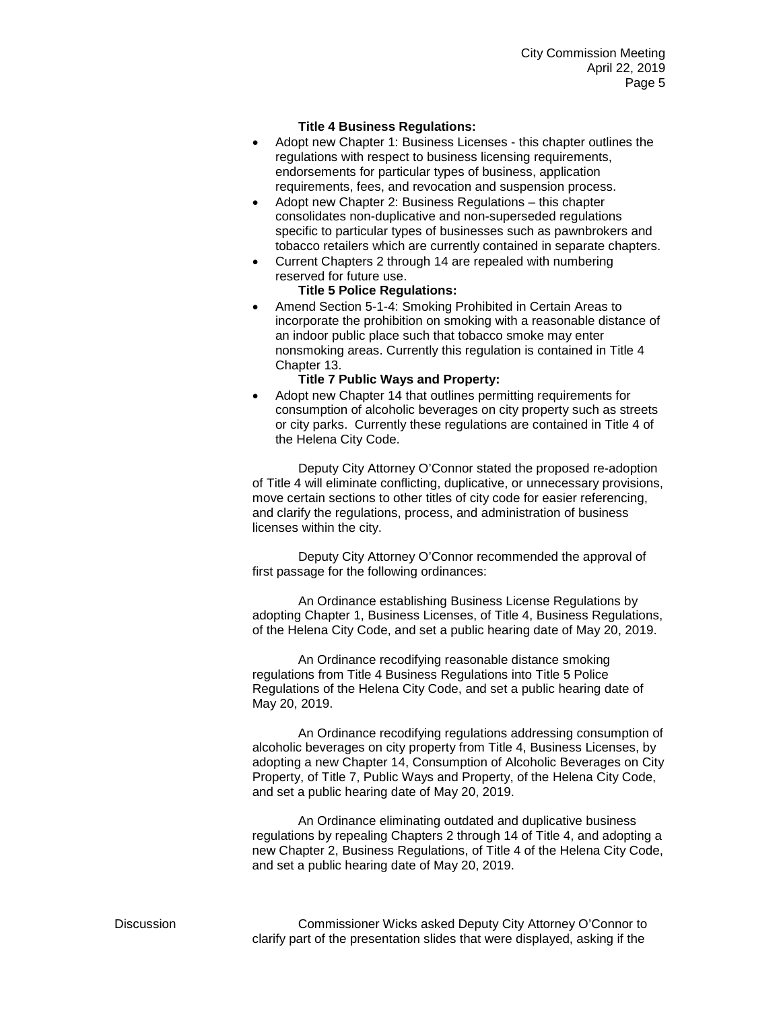# **Title 4 Business Regulations:**

- Adopt new Chapter 1: Business Licenses this chapter outlines the regulations with respect to business licensing requirements, endorsements for particular types of business, application requirements, fees, and revocation and suspension process.
- Adopt new Chapter 2: Business Regulations this chapter consolidates non-duplicative and non-superseded regulations specific to particular types of businesses such as pawnbrokers and tobacco retailers which are currently contained in separate chapters.
- Current Chapters 2 through 14 are repealed with numbering reserved for future use.

# **Title 5 Police Regulations:**

• Amend Section 5-1-4: Smoking Prohibited in Certain Areas to incorporate the prohibition on smoking with a reasonable distance of an indoor public place such that tobacco smoke may enter nonsmoking areas. Currently this regulation is contained in Title 4 Chapter 13.

### **Title 7 Public Ways and Property:**

• Adopt new Chapter 14 that outlines permitting requirements for consumption of alcoholic beverages on city property such as streets or city parks. Currently these regulations are contained in Title 4 of the Helena City Code.

Deputy City Attorney O'Connor stated the proposed re-adoption of Title 4 will eliminate conflicting, duplicative, or unnecessary provisions, move certain sections to other titles of city code for easier referencing, and clarify the regulations, process, and administration of business licenses within the city.

Deputy City Attorney O'Connor recommended the approval of first passage for the following ordinances:

An Ordinance establishing Business License Regulations by adopting Chapter 1, Business Licenses, of Title 4, Business Regulations, of the Helena City Code, and set a public hearing date of May 20, 2019.

An Ordinance recodifying reasonable distance smoking regulations from Title 4 Business Regulations into Title 5 Police Regulations of the Helena City Code, and set a public hearing date of May 20, 2019.

An Ordinance recodifying regulations addressing consumption of alcoholic beverages on city property from Title 4, Business Licenses, by adopting a new Chapter 14, Consumption of Alcoholic Beverages on City Property, of Title 7, Public Ways and Property, of the Helena City Code, and set a public hearing date of May 20, 2019.

An Ordinance eliminating outdated and duplicative business regulations by repealing Chapters 2 through 14 of Title 4, and adopting a new Chapter 2, Business Regulations, of Title 4 of the Helena City Code, and set a public hearing date of May 20, 2019.

Discussion Commissioner Wicks asked Deputy City Attorney O'Connor to clarify part of the presentation slides that were displayed, asking if the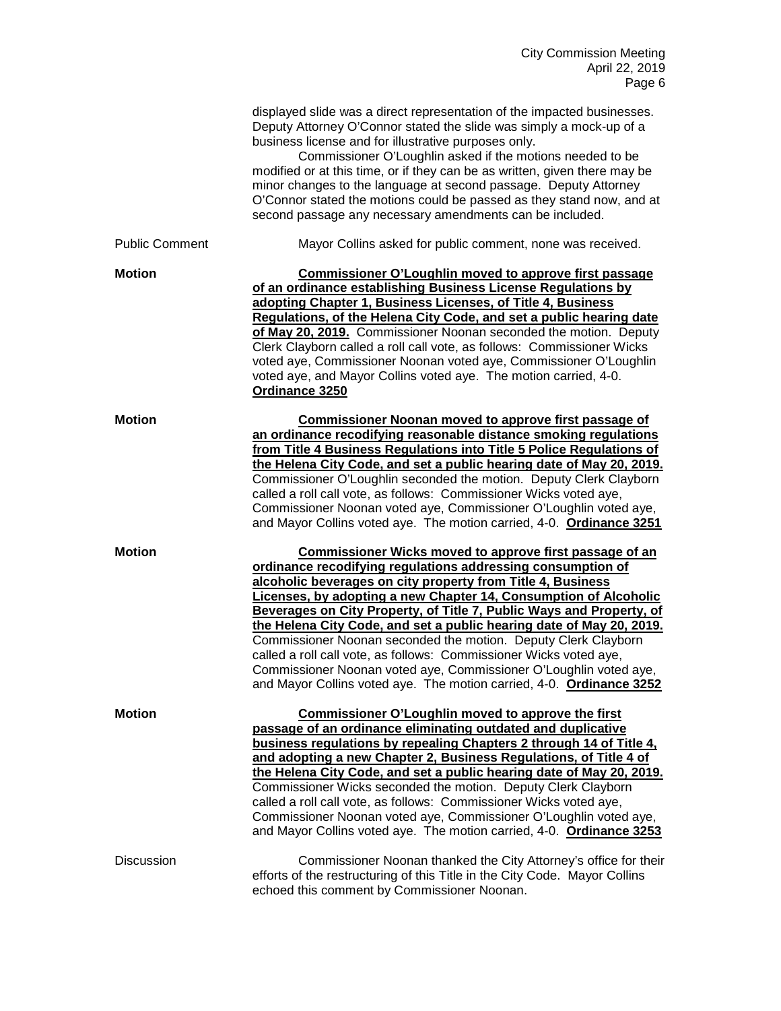|                       | displayed slide was a direct representation of the impacted businesses.<br>Deputy Attorney O'Connor stated the slide was simply a mock-up of a<br>business license and for illustrative purposes only.<br>Commissioner O'Loughlin asked if the motions needed to be<br>modified or at this time, or if they can be as written, given there may be<br>minor changes to the language at second passage. Deputy Attorney<br>O'Connor stated the motions could be passed as they stand now, and at<br>second passage any necessary amendments can be included.                                                                                                                                            |
|-----------------------|-------------------------------------------------------------------------------------------------------------------------------------------------------------------------------------------------------------------------------------------------------------------------------------------------------------------------------------------------------------------------------------------------------------------------------------------------------------------------------------------------------------------------------------------------------------------------------------------------------------------------------------------------------------------------------------------------------|
| <b>Public Comment</b> | Mayor Collins asked for public comment, none was received.                                                                                                                                                                                                                                                                                                                                                                                                                                                                                                                                                                                                                                            |
| <b>Motion</b>         | Commissioner O'Loughlin moved to approve first passage<br>of an ordinance establishing Business License Regulations by<br>adopting Chapter 1, Business Licenses, of Title 4, Business<br>Regulations, of the Helena City Code, and set a public hearing date<br>of May 20, 2019. Commissioner Noonan seconded the motion. Deputy<br>Clerk Clayborn called a roll call vote, as follows: Commissioner Wicks<br>voted aye, Commissioner Noonan voted aye, Commissioner O'Loughlin<br>voted aye, and Mayor Collins voted aye. The motion carried, 4-0.<br>Ordinance 3250                                                                                                                                 |
| <b>Motion</b>         | Commissioner Noonan moved to approve first passage of<br>an ordinance recodifying reasonable distance smoking regulations<br>from Title 4 Business Regulations into Title 5 Police Regulations of<br>the Helena City Code, and set a public hearing date of May 20, 2019.<br>Commissioner O'Loughlin seconded the motion. Deputy Clerk Clayborn<br>called a roll call vote, as follows: Commissioner Wicks voted aye,<br>Commissioner Noonan voted aye, Commissioner O'Loughlin voted aye,<br>and Mayor Collins voted aye. The motion carried, 4-0. Ordinance 3251                                                                                                                                    |
| <b>Motion</b>         | <b>Commissioner Wicks moved to approve first passage of an</b><br>ordinance recodifying regulations addressing consumption of<br>alcoholic beverages on city property from Title 4, Business<br>Licenses, by adopting a new Chapter 14, Consumption of Alcoholic<br>Beverages on City Property, of Title 7, Public Ways and Property, of<br>the Helena City Code, and set a public hearing date of May 20, 2019.<br>Commissioner Noonan seconded the motion. Deputy Clerk Clayborn<br>called a roll call vote, as follows: Commissioner Wicks voted aye,<br>Commissioner Noonan voted aye, Commissioner O'Loughlin voted aye,<br>and Mayor Collins voted aye. The motion carried, 4-0. Ordinance 3252 |
| <b>Motion</b>         | <b>Commissioner O'Loughlin moved to approve the first</b><br>passage of an ordinance eliminating outdated and duplicative<br>business regulations by repealing Chapters 2 through 14 of Title 4.<br>and adopting a new Chapter 2, Business Regulations, of Title 4 of<br>the Helena City Code, and set a public hearing date of May 20, 2019.<br>Commissioner Wicks seconded the motion. Deputy Clerk Clayborn<br>called a roll call vote, as follows: Commissioner Wicks voted aye,<br>Commissioner Noonan voted aye, Commissioner O'Loughlin voted aye,<br>and Mayor Collins voted aye. The motion carried, 4-0. Ordinance 3253                                                                     |
| <b>Discussion</b>     | Commissioner Noonan thanked the City Attorney's office for their<br>efforts of the restructuring of this Title in the City Code. Mayor Collins<br>echoed this comment by Commissioner Noonan.                                                                                                                                                                                                                                                                                                                                                                                                                                                                                                         |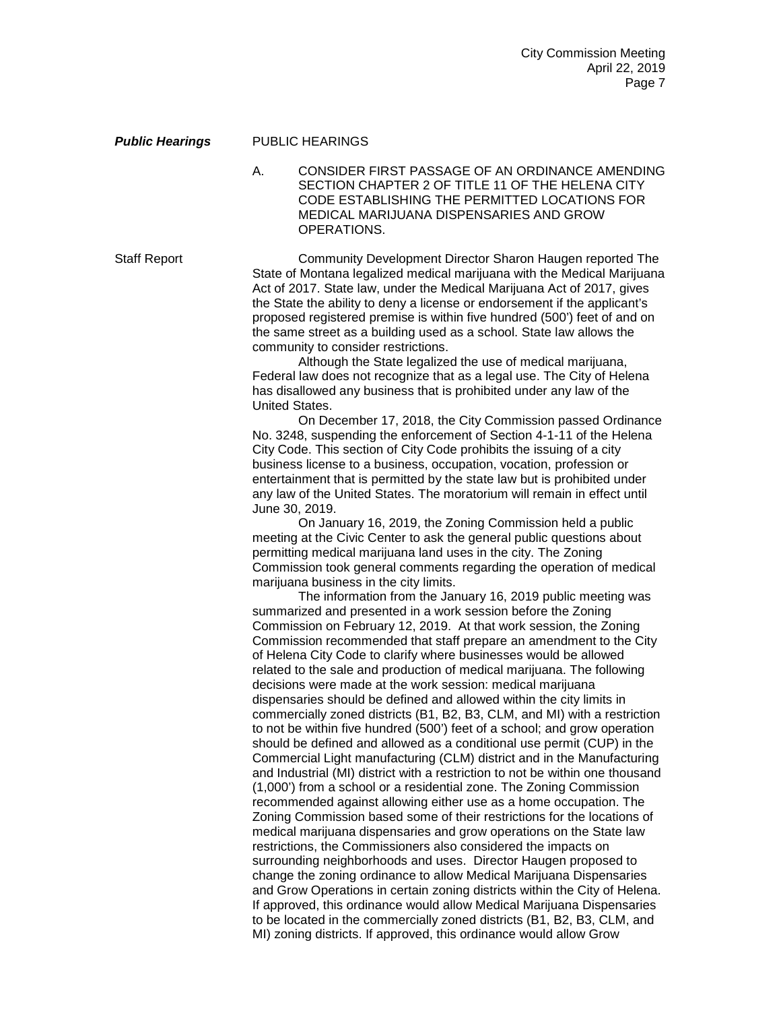#### *Public Hearings* PUBLIC HEARINGS

A. CONSIDER FIRST PASSAGE OF AN ORDINANCE AMENDING SECTION CHAPTER 2 OF TITLE 11 OF THE HELENA CITY CODE ESTABLISHING THE PERMITTED LOCATIONS FOR MEDICAL MARIJUANA DISPENSARIES AND GROW OPERATIONS.

Staff Report Community Development Director Sharon Haugen reported The State of Montana legalized medical marijuana with the Medical Marijuana Act of 2017. State law, under the Medical Marijuana Act of 2017, gives the State the ability to deny a license or endorsement if the applicant's proposed registered premise is within five hundred (500') feet of and on the same street as a building used as a school. State law allows the community to consider restrictions.

Although the State legalized the use of medical marijuana, Federal law does not recognize that as a legal use. The City of Helena has disallowed any business that is prohibited under any law of the United States.

On December 17, 2018, the City Commission passed Ordinance No. 3248, suspending the enforcement of Section 4-1-11 of the Helena City Code. This section of City Code prohibits the issuing of a city business license to a business, occupation, vocation, profession or entertainment that is permitted by the state law but is prohibited under any law of the United States. The moratorium will remain in effect until June 30, 2019.

On January 16, 2019, the Zoning Commission held a public meeting at the Civic Center to ask the general public questions about permitting medical marijuana land uses in the city. The Zoning Commission took general comments regarding the operation of medical marijuana business in the city limits.

The information from the January 16, 2019 public meeting was summarized and presented in a work session before the Zoning Commission on February 12, 2019. At that work session, the Zoning Commission recommended that staff prepare an amendment to the City of Helena City Code to clarify where businesses would be allowed related to the sale and production of medical marijuana. The following decisions were made at the work session: medical marijuana dispensaries should be defined and allowed within the city limits in commercially zoned districts (B1, B2, B3, CLM, and MI) with a restriction to not be within five hundred (500') feet of a school; and grow operation should be defined and allowed as a conditional use permit (CUP) in the Commercial Light manufacturing (CLM) district and in the Manufacturing and Industrial (MI) district with a restriction to not be within one thousand (1,000') from a school or a residential zone. The Zoning Commission recommended against allowing either use as a home occupation. The Zoning Commission based some of their restrictions for the locations of medical marijuana dispensaries and grow operations on the State law restrictions, the Commissioners also considered the impacts on surrounding neighborhoods and uses. Director Haugen proposed to change the zoning ordinance to allow Medical Marijuana Dispensaries and Grow Operations in certain zoning districts within the City of Helena. If approved, this ordinance would allow Medical Marijuana Dispensaries to be located in the commercially zoned districts (B1, B2, B3, CLM, and MI) zoning districts. If approved, this ordinance would allow Grow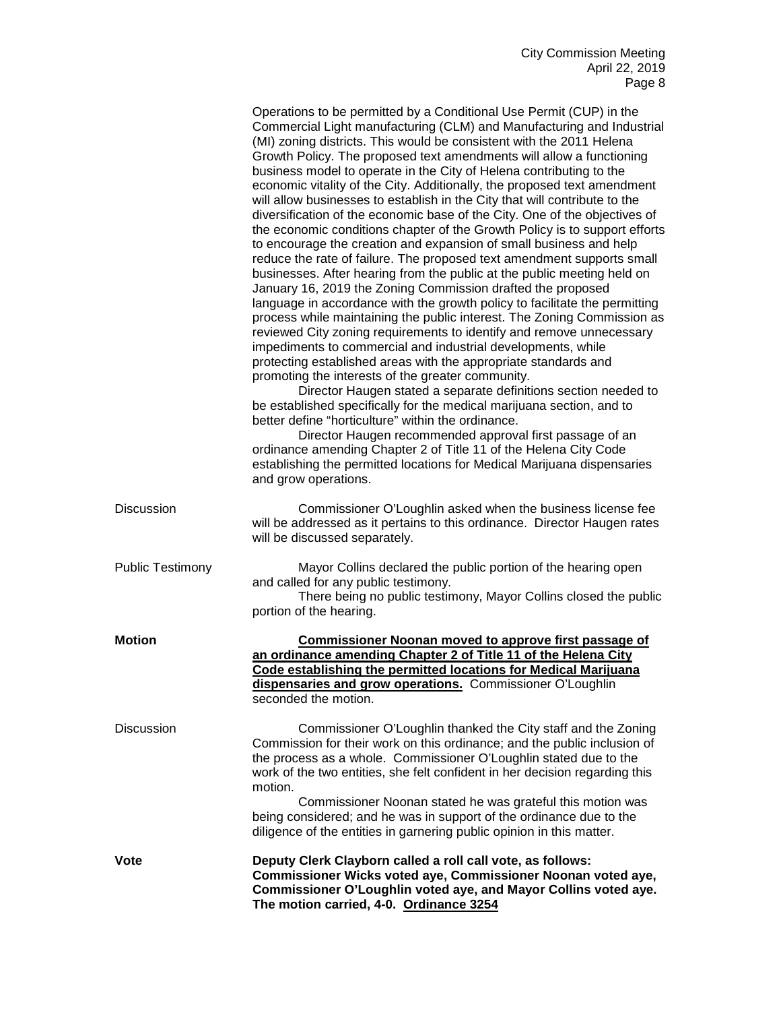|                         | Operations to be permitted by a Conditional Use Permit (CUP) in the<br>Commercial Light manufacturing (CLM) and Manufacturing and Industrial<br>(MI) zoning districts. This would be consistent with the 2011 Helena<br>Growth Policy. The proposed text amendments will allow a functioning<br>business model to operate in the City of Helena contributing to the<br>economic vitality of the City. Additionally, the proposed text amendment<br>will allow businesses to establish in the City that will contribute to the<br>diversification of the economic base of the City. One of the objectives of<br>the economic conditions chapter of the Growth Policy is to support efforts<br>to encourage the creation and expansion of small business and help<br>reduce the rate of failure. The proposed text amendment supports small<br>businesses. After hearing from the public at the public meeting held on<br>January 16, 2019 the Zoning Commission drafted the proposed<br>language in accordance with the growth policy to facilitate the permitting<br>process while maintaining the public interest. The Zoning Commission as<br>reviewed City zoning requirements to identify and remove unnecessary<br>impediments to commercial and industrial developments, while<br>protecting established areas with the appropriate standards and<br>promoting the interests of the greater community.<br>Director Haugen stated a separate definitions section needed to<br>be established specifically for the medical marijuana section, and to<br>better define "horticulture" within the ordinance.<br>Director Haugen recommended approval first passage of an<br>ordinance amending Chapter 2 of Title 11 of the Helena City Code<br>establishing the permitted locations for Medical Marijuana dispensaries<br>and grow operations. |
|-------------------------|---------------------------------------------------------------------------------------------------------------------------------------------------------------------------------------------------------------------------------------------------------------------------------------------------------------------------------------------------------------------------------------------------------------------------------------------------------------------------------------------------------------------------------------------------------------------------------------------------------------------------------------------------------------------------------------------------------------------------------------------------------------------------------------------------------------------------------------------------------------------------------------------------------------------------------------------------------------------------------------------------------------------------------------------------------------------------------------------------------------------------------------------------------------------------------------------------------------------------------------------------------------------------------------------------------------------------------------------------------------------------------------------------------------------------------------------------------------------------------------------------------------------------------------------------------------------------------------------------------------------------------------------------------------------------------------------------------------------------------------------------------------------------------------------------------------------------------------------------|
| <b>Discussion</b>       | Commissioner O'Loughlin asked when the business license fee<br>will be addressed as it pertains to this ordinance. Director Haugen rates<br>will be discussed separately.                                                                                                                                                                                                                                                                                                                                                                                                                                                                                                                                                                                                                                                                                                                                                                                                                                                                                                                                                                                                                                                                                                                                                                                                                                                                                                                                                                                                                                                                                                                                                                                                                                                                         |
| <b>Public Testimony</b> | Mayor Collins declared the public portion of the hearing open<br>and called for any public testimony.<br>There being no public testimony, Mayor Collins closed the public<br>portion of the hearing.                                                                                                                                                                                                                                                                                                                                                                                                                                                                                                                                                                                                                                                                                                                                                                                                                                                                                                                                                                                                                                                                                                                                                                                                                                                                                                                                                                                                                                                                                                                                                                                                                                              |
| <b>Motion</b>           | <b>Commissioner Noonan moved to approve first passage of</b><br>an ordinance amending Chapter 2 of Title 11 of the Helena City<br>Code establishing the permitted locations for Medical Marijuana<br>dispensaries and grow operations. Commissioner O'Loughlin<br>seconded the motion.                                                                                                                                                                                                                                                                                                                                                                                                                                                                                                                                                                                                                                                                                                                                                                                                                                                                                                                                                                                                                                                                                                                                                                                                                                                                                                                                                                                                                                                                                                                                                            |
| <b>Discussion</b>       | Commissioner O'Loughlin thanked the City staff and the Zoning<br>Commission for their work on this ordinance; and the public inclusion of<br>the process as a whole. Commissioner O'Loughlin stated due to the<br>work of the two entities, she felt confident in her decision regarding this<br>motion.<br>Commissioner Noonan stated he was grateful this motion was<br>being considered; and he was in support of the ordinance due to the<br>diligence of the entities in garnering public opinion in this matter.                                                                                                                                                                                                                                                                                                                                                                                                                                                                                                                                                                                                                                                                                                                                                                                                                                                                                                                                                                                                                                                                                                                                                                                                                                                                                                                            |
| Vote                    | Deputy Clerk Clayborn called a roll call vote, as follows:<br>Commissioner Wicks voted aye, Commissioner Noonan voted aye,<br>Commissioner O'Loughlin voted aye, and Mayor Collins voted aye.<br>The motion carried, 4-0. Ordinance 3254                                                                                                                                                                                                                                                                                                                                                                                                                                                                                                                                                                                                                                                                                                                                                                                                                                                                                                                                                                                                                                                                                                                                                                                                                                                                                                                                                                                                                                                                                                                                                                                                          |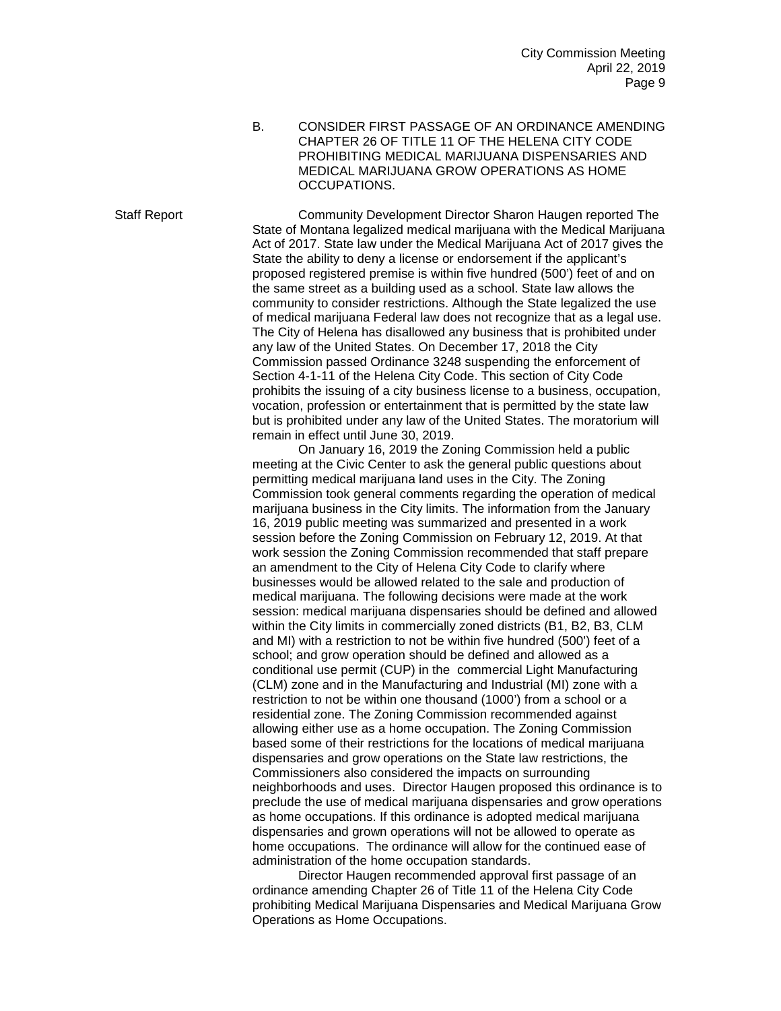B. CONSIDER FIRST PASSAGE OF AN ORDINANCE AMENDING CHAPTER 26 OF TITLE 11 OF THE HELENA CITY CODE PROHIBITING MEDICAL MARIJUANA DISPENSARIES AND MEDICAL MARIJUANA GROW OPERATIONS AS HOME OCCUPATIONS.

Staff Report Community Development Director Sharon Haugen reported The State of Montana legalized medical marijuana with the Medical Marijuana Act of 2017. State law under the Medical Marijuana Act of 2017 gives the State the ability to deny a license or endorsement if the applicant's proposed registered premise is within five hundred (500') feet of and on the same street as a building used as a school. State law allows the community to consider restrictions. Although the State legalized the use of medical marijuana Federal law does not recognize that as a legal use. The City of Helena has disallowed any business that is prohibited under any law of the United States. On December 17, 2018 the City Commission passed Ordinance 3248 suspending the enforcement of Section 4-1-11 of the Helena City Code. This section of City Code prohibits the issuing of a city business license to a business, occupation, vocation, profession or entertainment that is permitted by the state law but is prohibited under any law of the United States. The moratorium will remain in effect until June 30, 2019.

> On January 16, 2019 the Zoning Commission held a public meeting at the Civic Center to ask the general public questions about permitting medical marijuana land uses in the City. The Zoning Commission took general comments regarding the operation of medical marijuana business in the City limits. The information from the January 16, 2019 public meeting was summarized and presented in a work session before the Zoning Commission on February 12, 2019. At that work session the Zoning Commission recommended that staff prepare an amendment to the City of Helena City Code to clarify where businesses would be allowed related to the sale and production of medical marijuana. The following decisions were made at the work session: medical marijuana dispensaries should be defined and allowed within the City limits in commercially zoned districts (B1, B2, B3, CLM and MI) with a restriction to not be within five hundred (500') feet of a school; and grow operation should be defined and allowed as a conditional use permit (CUP) in the commercial Light Manufacturing (CLM) zone and in the Manufacturing and Industrial (MI) zone with a restriction to not be within one thousand (1000') from a school or a residential zone. The Zoning Commission recommended against allowing either use as a home occupation. The Zoning Commission based some of their restrictions for the locations of medical marijuana dispensaries and grow operations on the State law restrictions, the Commissioners also considered the impacts on surrounding neighborhoods and uses. Director Haugen proposed this ordinance is to preclude the use of medical marijuana dispensaries and grow operations as home occupations. If this ordinance is adopted medical marijuana dispensaries and grown operations will not be allowed to operate as home occupations. The ordinance will allow for the continued ease of administration of the home occupation standards.

> Director Haugen recommended approval first passage of an ordinance amending Chapter 26 of Title 11 of the Helena City Code prohibiting Medical Marijuana Dispensaries and Medical Marijuana Grow Operations as Home Occupations.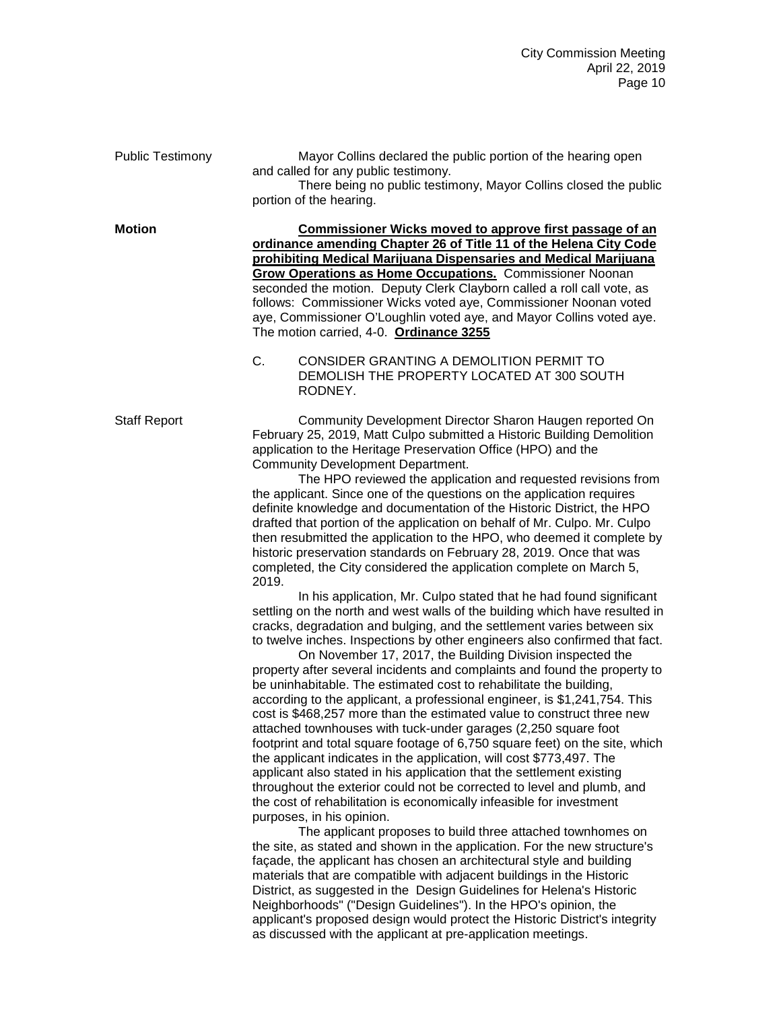| <b>Public Testimony</b> | Mayor Collins declared the public portion of the hearing open<br>and called for any public testimony.<br>There being no public testimony, Mayor Collins closed the public<br>portion of the hearing.                                                                                                                                                                                                                                                                                                                                                                                                                                                                                                                                                                                                                                                                                                                                                                                                                                                                                                                                                                                                                                                                                                                                                                                                                                                                                                                                                                                                                                                                                                                                                                                                                                                                                                                                                                                                                                                                                                                                                                                                                                                                                                                                                                                                                                                                                                                                    |
|-------------------------|-----------------------------------------------------------------------------------------------------------------------------------------------------------------------------------------------------------------------------------------------------------------------------------------------------------------------------------------------------------------------------------------------------------------------------------------------------------------------------------------------------------------------------------------------------------------------------------------------------------------------------------------------------------------------------------------------------------------------------------------------------------------------------------------------------------------------------------------------------------------------------------------------------------------------------------------------------------------------------------------------------------------------------------------------------------------------------------------------------------------------------------------------------------------------------------------------------------------------------------------------------------------------------------------------------------------------------------------------------------------------------------------------------------------------------------------------------------------------------------------------------------------------------------------------------------------------------------------------------------------------------------------------------------------------------------------------------------------------------------------------------------------------------------------------------------------------------------------------------------------------------------------------------------------------------------------------------------------------------------------------------------------------------------------------------------------------------------------------------------------------------------------------------------------------------------------------------------------------------------------------------------------------------------------------------------------------------------------------------------------------------------------------------------------------------------------------------------------------------------------------------------------------------------------|
| <b>Motion</b>           | <b>Commissioner Wicks moved to approve first passage of an</b><br>ordinance amending Chapter 26 of Title 11 of the Helena City Code<br>prohibiting Medical Marijuana Dispensaries and Medical Marijuana<br><b>Grow Operations as Home Occupations.</b> Commissioner Noonan<br>seconded the motion. Deputy Clerk Clayborn called a roll call vote, as<br>follows: Commissioner Wicks voted aye, Commissioner Noonan voted<br>aye, Commissioner O'Loughlin voted aye, and Mayor Collins voted aye.<br>The motion carried, 4-0. Ordinance 3255<br>C.<br>CONSIDER GRANTING A DEMOLITION PERMIT TO<br>DEMOLISH THE PROPERTY LOCATED AT 300 SOUTH<br>RODNEY.                                                                                                                                                                                                                                                                                                                                                                                                                                                                                                                                                                                                                                                                                                                                                                                                                                                                                                                                                                                                                                                                                                                                                                                                                                                                                                                                                                                                                                                                                                                                                                                                                                                                                                                                                                                                                                                                                  |
| <b>Staff Report</b>     | Community Development Director Sharon Haugen reported On<br>February 25, 2019, Matt Culpo submitted a Historic Building Demolition<br>application to the Heritage Preservation Office (HPO) and the<br>Community Development Department.<br>The HPO reviewed the application and requested revisions from<br>the applicant. Since one of the questions on the application requires<br>definite knowledge and documentation of the Historic District, the HPO<br>drafted that portion of the application on behalf of Mr. Culpo. Mr. Culpo<br>then resubmitted the application to the HPO, who deemed it complete by<br>historic preservation standards on February 28, 2019. Once that was<br>completed, the City considered the application complete on March 5,<br>2019.<br>In his application, Mr. Culpo stated that he had found significant<br>settling on the north and west walls of the building which have resulted in<br>cracks, degradation and bulging, and the settlement varies between six<br>to twelve inches. Inspections by other engineers also confirmed that fact.<br>On November 17, 2017, the Building Division inspected the<br>property after several incidents and complaints and found the property to<br>be uninhabitable. The estimated cost to rehabilitate the building,<br>according to the applicant, a professional engineer, is \$1,241,754. This<br>cost is \$468,257 more than the estimated value to construct three new<br>attached townhouses with tuck-under garages (2,250 square foot<br>footprint and total square footage of 6,750 square feet) on the site, which<br>the applicant indicates in the application, will cost \$773,497. The<br>applicant also stated in his application that the settlement existing<br>throughout the exterior could not be corrected to level and plumb, and<br>the cost of rehabilitation is economically infeasible for investment<br>purposes, in his opinion.<br>The applicant proposes to build three attached townhomes on<br>the site, as stated and shown in the application. For the new structure's<br>façade, the applicant has chosen an architectural style and building<br>materials that are compatible with adjacent buildings in the Historic<br>District, as suggested in the Design Guidelines for Helena's Historic<br>Neighborhoods" ("Design Guidelines"). In the HPO's opinion, the<br>applicant's proposed design would protect the Historic District's integrity<br>as discussed with the applicant at pre-application meetings. |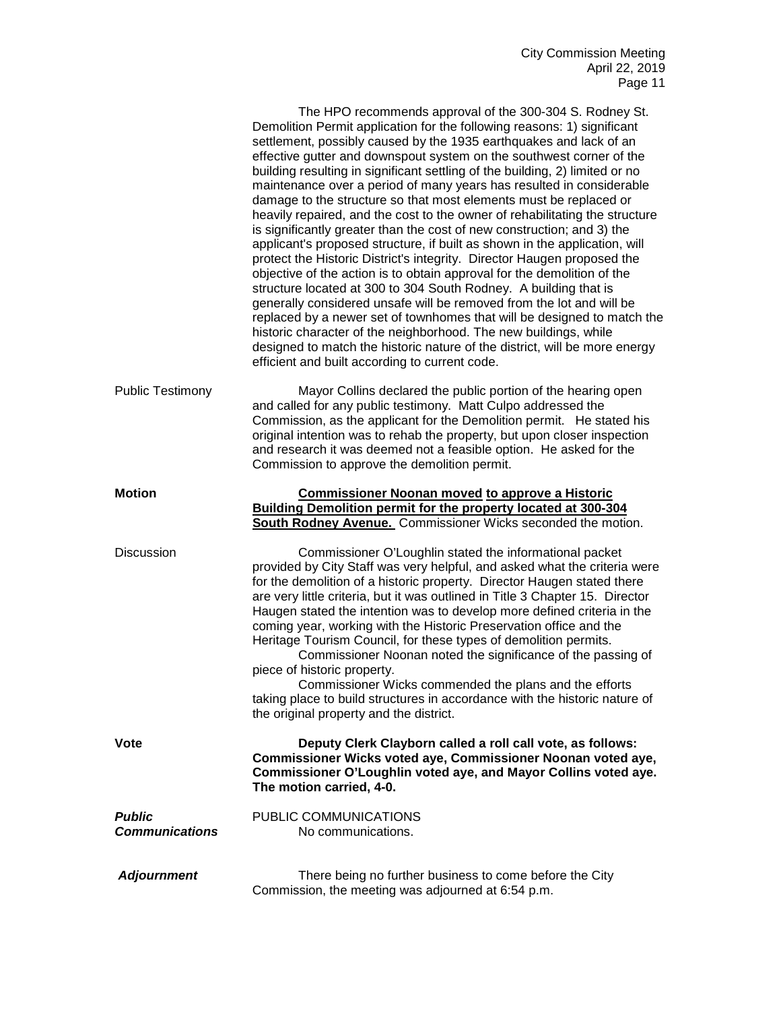|                                        | The HPO recommends approval of the 300-304 S. Rodney St.<br>Demolition Permit application for the following reasons: 1) significant<br>settlement, possibly caused by the 1935 earthquakes and lack of an<br>effective gutter and downspout system on the southwest corner of the<br>building resulting in significant settling of the building, 2) limited or no<br>maintenance over a period of many years has resulted in considerable<br>damage to the structure so that most elements must be replaced or<br>heavily repaired, and the cost to the owner of rehabilitating the structure<br>is significantly greater than the cost of new construction; and 3) the<br>applicant's proposed structure, if built as shown in the application, will<br>protect the Historic District's integrity. Director Haugen proposed the<br>objective of the action is to obtain approval for the demolition of the<br>structure located at 300 to 304 South Rodney. A building that is<br>generally considered unsafe will be removed from the lot and will be<br>replaced by a newer set of townhomes that will be designed to match the<br>historic character of the neighborhood. The new buildings, while<br>designed to match the historic nature of the district, will be more energy<br>efficient and built according to current code. |
|----------------------------------------|----------------------------------------------------------------------------------------------------------------------------------------------------------------------------------------------------------------------------------------------------------------------------------------------------------------------------------------------------------------------------------------------------------------------------------------------------------------------------------------------------------------------------------------------------------------------------------------------------------------------------------------------------------------------------------------------------------------------------------------------------------------------------------------------------------------------------------------------------------------------------------------------------------------------------------------------------------------------------------------------------------------------------------------------------------------------------------------------------------------------------------------------------------------------------------------------------------------------------------------------------------------------------------------------------------------------------------------|
| <b>Public Testimony</b>                | Mayor Collins declared the public portion of the hearing open<br>and called for any public testimony. Matt Culpo addressed the<br>Commission, as the applicant for the Demolition permit. He stated his<br>original intention was to rehab the property, but upon closer inspection<br>and research it was deemed not a feasible option. He asked for the<br>Commission to approve the demolition permit.                                                                                                                                                                                                                                                                                                                                                                                                                                                                                                                                                                                                                                                                                                                                                                                                                                                                                                                              |
| <b>Motion</b>                          | <b>Commissioner Noonan moved to approve a Historic</b><br>Building Demolition permit for the property located at 300-304<br>South Rodney Avenue. Commissioner Wicks seconded the motion.                                                                                                                                                                                                                                                                                                                                                                                                                                                                                                                                                                                                                                                                                                                                                                                                                                                                                                                                                                                                                                                                                                                                               |
| <b>Discussion</b>                      | Commissioner O'Loughlin stated the informational packet<br>provided by City Staff was very helpful, and asked what the criteria were<br>for the demolition of a historic property. Director Haugen stated there<br>are very little criteria, but it was outlined in Title 3 Chapter 15. Director<br>Haugen stated the intention was to develop more defined criteria in the<br>coming year, working with the Historic Preservation office and the<br>Heritage Tourism Council, for these types of demolition permits.<br>Commissioner Noonan noted the significance of the passing of<br>piece of historic property.<br>Commissioner Wicks commended the plans and the efforts<br>taking place to build structures in accordance with the historic nature of<br>the original property and the district.                                                                                                                                                                                                                                                                                                                                                                                                                                                                                                                                |
| <b>Vote</b>                            | Deputy Clerk Clayborn called a roll call vote, as follows:<br>Commissioner Wicks voted aye, Commissioner Noonan voted aye,<br>Commissioner O'Loughlin voted aye, and Mayor Collins voted aye.<br>The motion carried, 4-0.                                                                                                                                                                                                                                                                                                                                                                                                                                                                                                                                                                                                                                                                                                                                                                                                                                                                                                                                                                                                                                                                                                              |
| <b>Public</b><br><b>Communications</b> | PUBLIC COMMUNICATIONS<br>No communications.                                                                                                                                                                                                                                                                                                                                                                                                                                                                                                                                                                                                                                                                                                                                                                                                                                                                                                                                                                                                                                                                                                                                                                                                                                                                                            |
| <b>Adjournment</b>                     | There being no further business to come before the City<br>Commission, the meeting was adjourned at 6:54 p.m.                                                                                                                                                                                                                                                                                                                                                                                                                                                                                                                                                                                                                                                                                                                                                                                                                                                                                                                                                                                                                                                                                                                                                                                                                          |